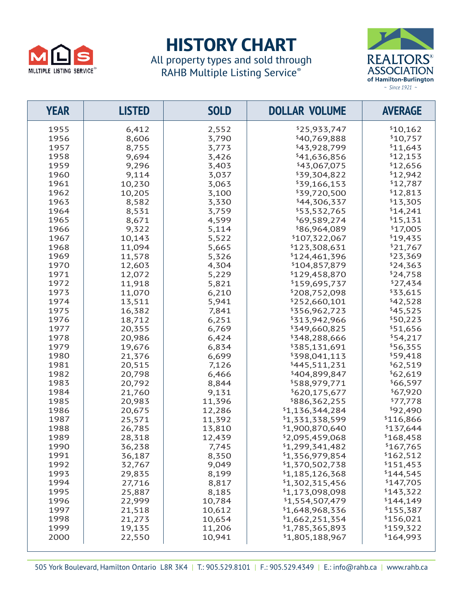

## **HISTORY CHART**

All property types and sold through RAHB Multiple Listing Service®



| <b>YEAR</b> | <b>LISTED</b> | <b>SOLD</b> | <b>DOLLAR VOLUME</b> | <b>AVERAGE</b> |
|-------------|---------------|-------------|----------------------|----------------|
| 1955        | 6,412         | 2,552       | \$25,933,747         | \$10,162       |
| 1956        | 8,606         | 3,790       | \$40,769,888         | \$10,757       |
| 1957        | 8,755         | 3,773       | \$43,928,799         | \$11,643       |
| 1958        | 9,694         | 3,426       | \$41,636,856         | \$12,153       |
| 1959        | 9,296         | 3,403       | \$43,067,075         | \$12,656       |
| 1960        | 9,114         | 3,037       | \$39,304,822         | \$12,942       |
| 1961        | 10,230        | 3,063       | \$39,166,153         | \$12,787       |
| 1962        | 10,205        | 3,100       | \$39,720,500         | \$12,813       |
| 1963        | 8,582         | 3,330       | \$44,306,337         | \$13,305       |
| 1964        | 8,531         | 3,759       | \$53,532,765         | \$14,241       |
| 1965        | 8,671         | 4,599       | \$69,589,274         | \$15,131       |
| 1966        | 9,322         | 5,114       | \$86,964,089         | \$17,005       |
| 1967        | 10,143        | 5,522       | \$107,322,067        | \$19,435       |
| 1968        | 11,094        | 5,665       | \$123,308,631        | \$21,767       |
| 1969        | 11,578        | 5,326       | \$124,461,396        | \$23,369       |
| 1970        | 12,603        | 4,304       | \$104,857,879        | \$24,363       |
| 1971        | 12,072        | 5,229       | \$129,458,870        | \$24,758       |
| 1972        | 11,918        | 5,821       | \$159,695,737        | \$27,434       |
| 1973        | 11,070        | 6,210       | \$208,752,098        | \$33,615       |
| 1974        | 13,511        | 5,941       | \$252,660,101        | \$42,528       |
| 1975        | 16,382        | 7,841       | \$356,962,723        | \$45,525       |
| 1976        | 18,712        | 6,251       | \$313,942,966        | \$50,223       |
| 1977        | 20,355        | 6,769       | \$349,660,825        | \$51,656       |
| 1978        | 20,986        | 6,424       | \$348,288,666        | \$54,217       |
| 1979        | 19,676        | 6,834       | \$385,131,691        | \$56,355       |
| 1980        | 21,376        | 6,699       | \$398,041,113        | \$59,418       |
| 1981        | 20,515        | 7,126       | \$445,511,231        | \$62,519       |
| 1982        | 20,798        | 6,466       | \$404,899,847        | \$62,619       |
| 1983        | 20,792        | 8,844       | \$588,979,771        | \$66,597       |
| 1984        | 21,760        | 9,131       | \$620,175,677        | \$67,920       |
| 1985        | 20,983        | 11,396      | \$886,362,255        | \$77,778       |
| 1986        | 20,675        | 12,286      | \$1,136,344,284      | \$92,490       |
| 1987        | 25,571        | 11,392      | \$1,331,338,599      | \$116,866      |
| 1988        | 26,785        | 13,810      | \$1,900,870,640      | \$137,644      |
| 1989        | 28,318        | 12,439      | \$2,095,459,068      | \$168,458      |
| 1990        | 36,238        | 7,745       | \$1,299,341,482      | \$167,765      |
| 1991        | 36,187        | 8,350       | \$1,356,979,854      | \$162,512      |
| 1992        | 32,767        | 9,049       | \$1,370,502,738      | \$151,453      |
| 1993        | 29,835        | 8,199       | \$1,185,126,368      | \$144,545      |
| 1994        | 27,716        | 8,817       | \$1,302,315,456      | \$147,705      |
| 1995        | 25,887        | 8,185       | \$1,173,098,098      | \$143,322      |
| 1996        | 22,999        | 10,784      | \$1,554,507,479      | \$144,149      |
| 1997        | 21,518        | 10,612      | \$1,648,968,336      | \$155,387      |
| 1998        | 21,273        | 10,654      | \$1,662,251,354      | \$156,021      |
| 1999        | 19,135        | 11,206      | \$1,785,365,893      | \$159,322      |
| 2000        | 22,550        | 10,941      | \$1,805,188,967      | \$164,993      |